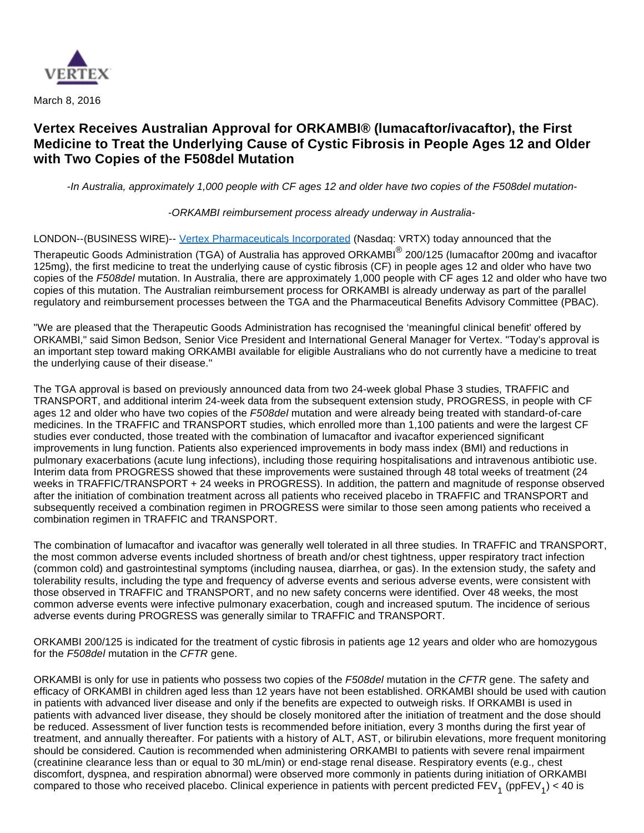

March 8, 2016

# **Vertex Receives Australian Approval for ORKAMBI® (lumacaftor/ivacaftor), the First Medicine to Treat the Underlying Cause of Cystic Fibrosis in People Ages 12 and Older with Two Copies of the F508del Mutation**

-In Australia, approximately 1,000 people with CF ages 12 and older have two copies of the F508del mutation-

-ORKAMBI reimbursement process already underway in Australia-

LONDON--(BUSINESS WIRE)-- [Vertex Pharmaceuticals Incorporated](http://cts.businesswire.com/ct/CT?id=smartlink&url=http%3A%2F%2Fwww.vrtx.com&esheet=51296348&newsitemid=20160308006634&lan=en-US&anchor=Vertex+Pharmaceuticals+Incorporated&index=1&md5=6d5a78e8e97444d0d89664b0f04b1351) (Nasdaq: VRTX) today announced that the

Therapeutic Goods Administration (TGA) of Australia has approved ORKAMBI<sup>®</sup> 200/125 (lumacaftor 200mg and ivacaftor 125mg), the first medicine to treat the underlying cause of cystic fibrosis (CF) in people ages 12 and older who have two copies of the F508del mutation. In Australia, there are approximately 1,000 people with CF ages 12 and older who have two copies of this mutation. The Australian reimbursement process for ORKAMBI is already underway as part of the parallel regulatory and reimbursement processes between the TGA and the Pharmaceutical Benefits Advisory Committee (PBAC).

"We are pleased that the Therapeutic Goods Administration has recognised the 'meaningful clinical benefit' offered by ORKAMBI," said Simon Bedson, Senior Vice President and International General Manager for Vertex. "Today's approval is an important step toward making ORKAMBI available for eligible Australians who do not currently have a medicine to treat the underlying cause of their disease."

The TGA approval is based on previously announced data from two 24-week global Phase 3 studies, TRAFFIC and TRANSPORT, and additional interim 24-week data from the subsequent extension study, PROGRESS, in people with CF ages 12 and older who have two copies of the F508del mutation and were already being treated with standard-of-care medicines. In the TRAFFIC and TRANSPORT studies, which enrolled more than 1,100 patients and were the largest CF studies ever conducted, those treated with the combination of lumacaftor and ivacaftor experienced significant improvements in lung function. Patients also experienced improvements in body mass index (BMI) and reductions in pulmonary exacerbations (acute lung infections), including those requiring hospitalisations and intravenous antibiotic use. Interim data from PROGRESS showed that these improvements were sustained through 48 total weeks of treatment (24 weeks in TRAFFIC/TRANSPORT + 24 weeks in PROGRESS). In addition, the pattern and magnitude of response observed after the initiation of combination treatment across all patients who received placebo in TRAFFIC and TRANSPORT and subsequently received a combination regimen in PROGRESS were similar to those seen among patients who received a combination regimen in TRAFFIC and TRANSPORT.

The combination of lumacaftor and ivacaftor was generally well tolerated in all three studies. In TRAFFIC and TRANSPORT, the most common adverse events included shortness of breath and/or chest tightness, upper respiratory tract infection (common cold) and gastrointestinal symptoms (including nausea, diarrhea, or gas). In the extension study, the safety and tolerability results, including the type and frequency of adverse events and serious adverse events, were consistent with those observed in TRAFFIC and TRANSPORT, and no new safety concerns were identified. Over 48 weeks, the most common adverse events were infective pulmonary exacerbation, cough and increased sputum. The incidence of serious adverse events during PROGRESS was generally similar to TRAFFIC and TRANSPORT.

ORKAMBI 200/125 is indicated for the treatment of cystic fibrosis in patients age 12 years and older who are homozygous for the F508del mutation in the CFTR gene.

ORKAMBI is only for use in patients who possess two copies of the F508del mutation in the CFTR gene. The safety and efficacy of ORKAMBI in children aged less than 12 years have not been established. ORKAMBI should be used with caution in patients with advanced liver disease and only if the benefits are expected to outweigh risks. If ORKAMBI is used in patients with advanced liver disease, they should be closely monitored after the initiation of treatment and the dose should be reduced. Assessment of liver function tests is recommended before initiation, every 3 months during the first year of treatment, and annually thereafter. For patients with a history of ALT, AST, or bilirubin elevations, more frequent monitoring should be considered. Caution is recommended when administering ORKAMBI to patients with severe renal impairment (creatinine clearance less than or equal to 30 mL/min) or end-stage renal disease. Respiratory events (e.g., chest discomfort, dyspnea, and respiration abnormal) were observed more commonly in patients during initiation of ORKAMBI compared to those who received placebo. Clinical experience in patients with percent predicted  $\sf{FEV}_1$  (pp $\sf{FEV}_1$ ) < 40 is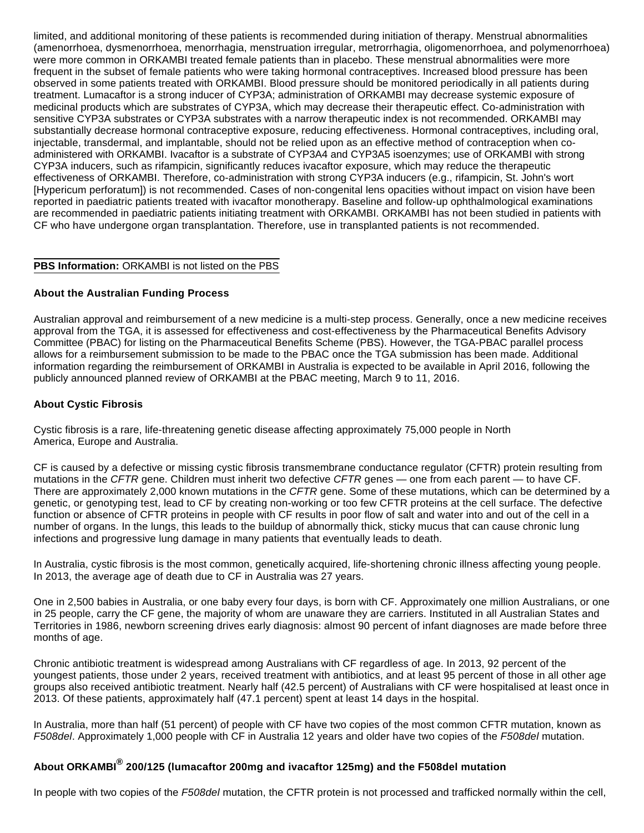limited, and additional monitoring of these patients is recommended during initiation of therapy. Menstrual abnormalities (amenorrhoea, dysmenorrhoea, menorrhagia, menstruation irregular, metrorrhagia, oligomenorrhoea, and polymenorrhoea) were more common in ORKAMBI treated female patients than in placebo. These menstrual abnormalities were more frequent in the subset of female patients who were taking hormonal contraceptives. Increased blood pressure has been observed in some patients treated with ORKAMBI. Blood pressure should be monitored periodically in all patients during treatment. Lumacaftor is a strong inducer of CYP3A; administration of ORKAMBI may decrease systemic exposure of medicinal products which are substrates of CYP3A, which may decrease their therapeutic effect. Co-administration with sensitive CYP3A substrates or CYP3A substrates with a narrow therapeutic index is not recommended. ORKAMBI may substantially decrease hormonal contraceptive exposure, reducing effectiveness. Hormonal contraceptives, including oral, injectable, transdermal, and implantable, should not be relied upon as an effective method of contraception when coadministered with ORKAMBI. Ivacaftor is a substrate of CYP3A4 and CYP3A5 isoenzymes; use of ORKAMBI with strong CYP3A inducers, such as rifampicin, significantly reduces ivacaftor exposure, which may reduce the therapeutic effectiveness of ORKAMBI. Therefore, co-administration with strong CYP3A inducers (e.g., rifampicin, St. John's wort [Hypericum perforatum]) is not recommended. Cases of non-congenital lens opacities without impact on vision have been reported in paediatric patients treated with ivacaftor monotherapy. Baseline and follow-up ophthalmological examinations are recommended in paediatric patients initiating treatment with ORKAMBI. ORKAMBI has not been studied in patients with CF who have undergone organ transplantation. Therefore, use in transplanted patients is not recommended.

# **PBS Information:** ORKAMBI is not listed on the PBS

# **About the Australian Funding Process**

Australian approval and reimbursement of a new medicine is a multi-step process. Generally, once a new medicine receives approval from the TGA, it is assessed for effectiveness and cost-effectiveness by the Pharmaceutical Benefits Advisory Committee (PBAC) for listing on the Pharmaceutical Benefits Scheme (PBS). However, the TGA-PBAC parallel process allows for a reimbursement submission to be made to the PBAC once the TGA submission has been made. Additional information regarding the reimbursement of ORKAMBI in Australia is expected to be available in April 2016, following the publicly announced planned review of ORKAMBI at the PBAC meeting, March 9 to 11, 2016.

### **About Cystic Fibrosis**

Cystic fibrosis is a rare, life-threatening genetic disease affecting approximately 75,000 people in North America, Europe and Australia.

CF is caused by a defective or missing cystic fibrosis transmembrane conductance regulator (CFTR) protein resulting from mutations in the CFTR gene. Children must inherit two defective CFTR genes — one from each parent — to have CF. There are approximately 2,000 known mutations in the CFTR gene. Some of these mutations, which can be determined by a genetic, or genotyping test, lead to CF by creating non-working or too few CFTR proteins at the cell surface. The defective function or absence of CFTR proteins in people with CF results in poor flow of salt and water into and out of the cell in a number of organs. In the lungs, this leads to the buildup of abnormally thick, sticky mucus that can cause chronic lung infections and progressive lung damage in many patients that eventually leads to death.

In Australia, cystic fibrosis is the most common, genetically acquired, life-shortening chronic illness affecting young people. In 2013, the average age of death due to CF in Australia was 27 years.

One in 2,500 babies in Australia, or one baby every four days, is born with CF. Approximately one million Australians, or one in 25 people, carry the CF gene, the majority of whom are unaware they are carriers. Instituted in all Australian States and Territories in 1986, newborn screening drives early diagnosis: almost 90 percent of infant diagnoses are made before three months of age.

Chronic antibiotic treatment is widespread among Australians with CF regardless of age. In 2013, 92 percent of the youngest patients, those under 2 years, received treatment with antibiotics, and at least 95 percent of those in all other age groups also received antibiotic treatment. Nearly half (42.5 percent) of Australians with CF were hospitalised at least once in 2013. Of these patients, approximately half (47.1 percent) spent at least 14 days in the hospital.

In Australia, more than half (51 percent) of people with CF have two copies of the most common CFTR mutation, known as F508del. Approximately 1,000 people with CF in Australia 12 years and older have two copies of the F508del mutation.

# **About ORKAMBI® 200/125 (lumacaftor 200mg and ivacaftor 125mg) and the F508del mutation**

In people with two copies of the F508del mutation, the CFTR protein is not processed and trafficked normally within the cell,